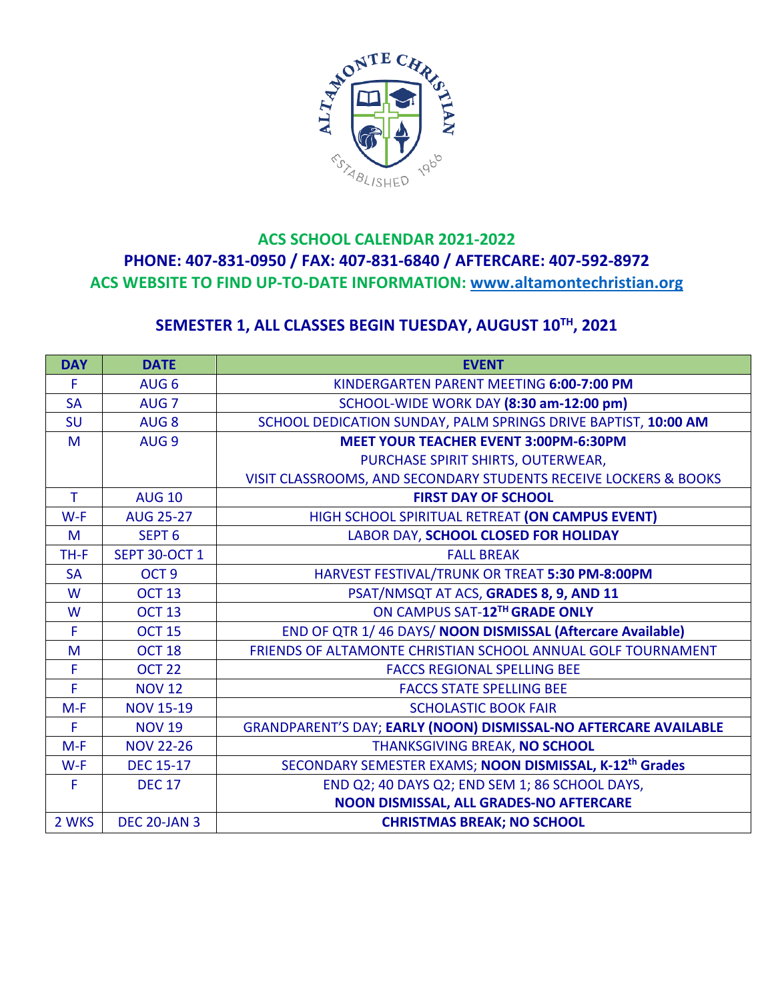

## **ACS SCHOOL CALENDAR 2021-2022 PHONE: 407-831-0950 / FAX: 407-831-6840 / AFTERCARE: 407-592-8972 ACS WEBSITE TO FIND UP-TO-DATE INFORMATION: www.altamontechristian.org**

## **SEMESTER 1, ALL CLASSES BEGIN TUESDAY, AUGUST 10TH, 2021**

| <b>DAY</b> | <b>DATE</b>          | <b>EVENT</b>                                                        |
|------------|----------------------|---------------------------------------------------------------------|
| F          | AUG <sub>6</sub>     | KINDERGARTEN PARENT MEETING 6:00-7:00 PM                            |
| <b>SA</b>  | AUG <sub>7</sub>     | SCHOOL-WIDE WORK DAY (8:30 am-12:00 pm)                             |
| <b>SU</b>  | AUG <sub>8</sub>     | SCHOOL DEDICATION SUNDAY, PALM SPRINGS DRIVE BAPTIST, 10:00 AM      |
| M          | AUG <sub>9</sub>     | <b>MEET YOUR TEACHER EVENT 3:00PM-6:30PM</b>                        |
|            |                      | PURCHASE SPIRIT SHIRTS, OUTERWEAR,                                  |
|            |                      | VISIT CLASSROOMS, AND SECONDARY STUDENTS RECEIVE LOCKERS & BOOKS    |
| T.         | <b>AUG 10</b>        | <b>FIRST DAY OF SCHOOL</b>                                          |
| $W-F$      | <b>AUG 25-27</b>     | HIGH SCHOOL SPIRITUAL RETREAT (ON CAMPUS EVENT)                     |
| M          | SEPT <sub>6</sub>    | LABOR DAY, SCHOOL CLOSED FOR HOLIDAY                                |
| TH-F       | <b>SEPT 30-OCT 1</b> | <b>FALL BREAK</b>                                                   |
| <b>SA</b>  | OCT <sub>9</sub>     | HARVEST FESTIVAL/TRUNK OR TREAT 5:30 PM-8:00PM                      |
| W          | <b>OCT 13</b>        | PSAT/NMSQT AT ACS, GRADES 8, 9, AND 11                              |
| W          | <b>OCT 13</b>        | ON CAMPUS SAT-12TH GRADE ONLY                                       |
| F          | <b>OCT 15</b>        | END OF QTR 1/46 DAYS/NOON DISMISSAL (Aftercare Available)           |
| M          | OCT <sub>18</sub>    | FRIENDS OF ALTAMONTE CHRISTIAN SCHOOL ANNUAL GOLF TOURNAMENT        |
| F          | OCT <sub>22</sub>    | <b>FACCS REGIONAL SPELLING BEE</b>                                  |
| F          | <b>NOV 12</b>        | <b>FACCS STATE SPELLING BEE</b>                                     |
| $M-F$      | <b>NOV 15-19</b>     | <b>SCHOLASTIC BOOK FAIR</b>                                         |
| F          | <b>NOV 19</b>        | GRANDPARENT'S DAY; EARLY (NOON) DISMISSAL-NO AFTERCARE AVAILABLE    |
| $M-F$      | <b>NOV 22-26</b>     | THANKSGIVING BREAK, NO SCHOOL                                       |
| $W-F$      | <b>DEC 15-17</b>     | SECONDARY SEMESTER EXAMS; NOON DISMISSAL, K-12 <sup>th</sup> Grades |
| F          | <b>DEC 17</b>        | END Q2; 40 DAYS Q2; END SEM 1; 86 SCHOOL DAYS,                      |
|            |                      | NOON DISMISSAL, ALL GRADES-NO AFTERCARE                             |
| 2 WKS      | <b>DEC 20-JAN 3</b>  | <b>CHRISTMAS BREAK; NO SCHOOL</b>                                   |